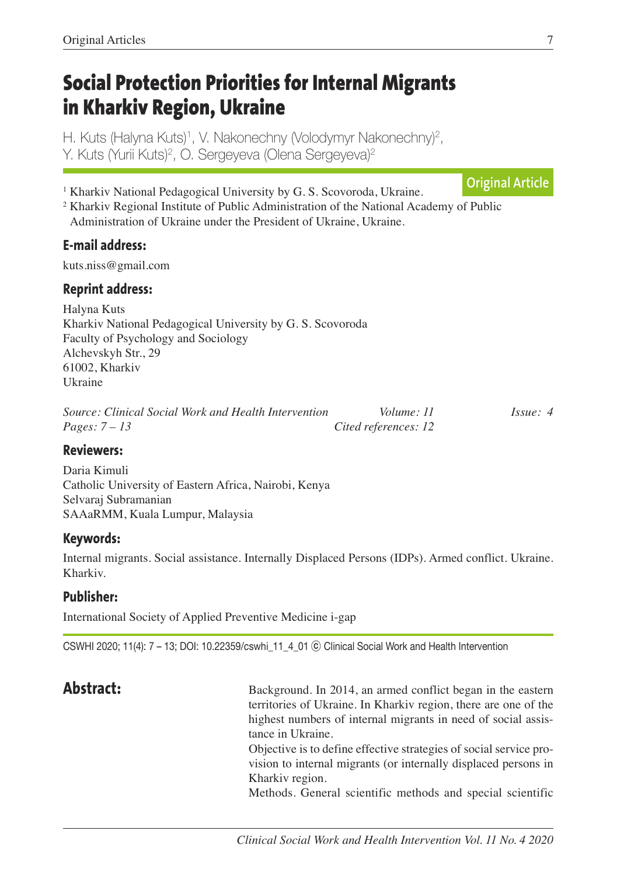# **Social Protection Priorities for Internal Migrants in Kharkiv Region, Ukraine**

H. Kuts (Halyna Kuts) 1, V. Nakonechny (Volodymyr Nakonechny) 2, Y. Kuts (Yurii Kuts) 2, O. Sergeyeva (Olena Sergeyeva) 2

<sup>1</sup> Kharkiv National Pedagogical University by G. S. Scovoroda, Ukraine. **Original Article**

<sup>2</sup> Kharkiv Regional Institute of Public Administration of the National Academy of Public Administration of Ukraine under the President of Ukraine, Ukraine.

# **E-mail address:**

kuts.niss@gmail.com

# **Reprint address:**

Halyna Kuts Kharkiv National Pedagogical University by G. S. Scovoroda Faculty of Psychology and Sociology Alchevskyh Str., 29 61002, Kharkiv Ukraine

| Source: Clinical Social Work and Health Intervention | Volume: 11           | $I_{SS}ue: 4$ |
|------------------------------------------------------|----------------------|---------------|
| Pages: $7-13$                                        | Cited references: 12 |               |

## **Reviewers:**

Daria Kimuli Catholic University of Eastern Africa, Nairobi, Kenya Selvaraj Subramanian SAAaRMM, Kuala Lumpur, Malaysia

## **Keywords:**

Internal migrants. Social assistance. Internally Displaced Persons (IDPs). Armed conflict. Ukraine. Kharkiv.

# **Publisher:**

International Society of Applied Preventive Medicine i-gap

CSWHI 2020; 11(4): 7 – 13; DOI: 10.22359/cswhi\_11\_4\_01 ⓒ Clinical Social Work and Health Intervention

**Abstract:** Background. In 2014, an armed conflict began in the eastern territories of Ukraine. In Kharkiv region, there are one of the highest numbers of internal migrants in need of social assistance in Ukraine. Objective is to define effective strategies of social service provision to internal migrants (or internally displaced persons in Kharkiv region.

Methods. General scientific methods and special scientific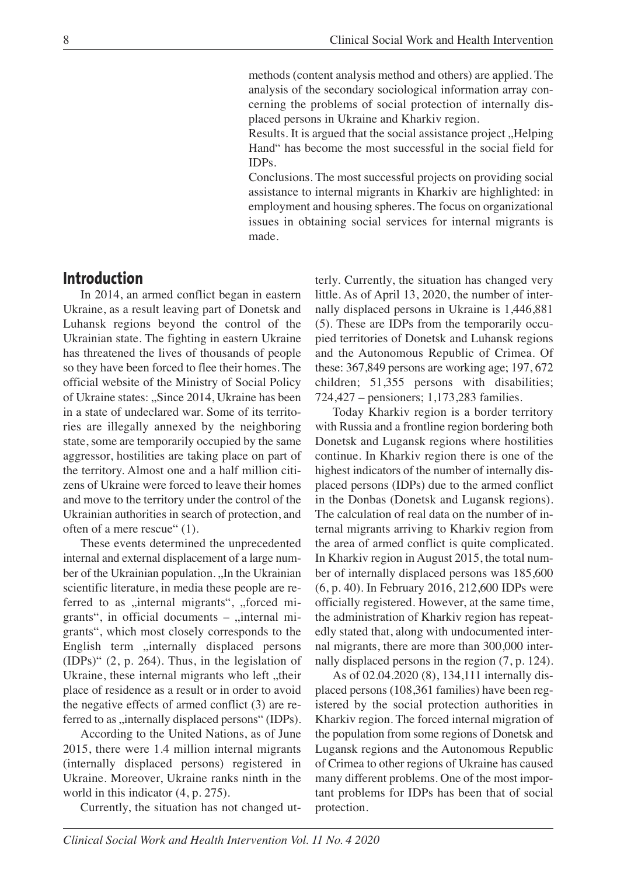methods (content analysis method and others) are applied. The analysis of the secondary sociological information array concerning the problems of social protection of internally displaced persons in Ukraine and Kharkiv region.

Results. It is argued that the social assistance project, Helping Hand" has become the most successful in the social field for IDPs.

 Conclusions. The most successful projects on providing social assistance to internal migrants in Kharkiv are highlighted: in employment and housing spheres. The focus on organizational issues in obtaining social services for internal migrants is made.

# **Introduction**

In 2014, an armed conflict began in eastern Ukraine, as a result leaving part of Donetsk and Luhansk regions beyond the control of the Ukrainian state. The fighting in eastern Ukraine has threatened the lives of thousands of people so they have been forced to flee their homes. The official website of the Ministry of Social Policy of Ukraine states: ...Since 2014, Ukraine has been in a state of undeclared war. Some of its territories are illegally annexed by the neighboring state, some are temporarily occupied by the same aggressor, hostilities are taking place on part of the territory. Almost one and a half million citizens of Ukraine were forced to leave their homes and move to the territory under the control of the Ukrainian authorities in search of protection, and often of a mere rescue" (1).

These events determined the unprecedented internal and external displacement of a large number of the Ukrainian population. "In the Ukrainian scientific literature, in media these people are referred to as "internal migrants", "forced migrants", in official documents  $-$ , internal migrants", which most closely corresponds to the English term "internally displaced persons (IDPs)" (2, p. 264). Thus, in the legislation of Ukraine, these internal migrants who left "their place of residence as a result or in order to avoid the negative effects of armed conflict (3) are referred to as "internally displaced persons" (IDPs).

According to the United Nations, as of June 2015, there were 1.4 million internal migrants (internally displaced persons) registered in Ukraine. Moreover, Ukraine ranks ninth in the world in this indicator (4, p. 275).

Currently, the situation has not changed ut-

terly. Currently, the situation has changed very little. As of April 13, 2020, the number of internally displaced persons in Ukraine is 1,446,881 (5). These are IDPs from the temporarily occupied territories of Donetsk and Luhansk regions and the Autonomous Republic of Crimea. Of these: 367,849 persons are working age; 197, 672 children; 51,355 persons with disabilities; 724,427 – pensioners; 1,173,283 families.

Today Kharkiv region is a border territory with Russia and a frontline region bordering both Donetsk and Lugansk regions where hostilities continue. In Kharkiv region there is one of the highest indicators of the number of internally displaced persons (IDPs) due to the armed conflict in the Donbas (Donetsk and Lugansk regions). The calculation of real data on the number of internal migrants arriving to Kharkiv region from the area of armed conflict is quite complicated. In Kharkiv region in August 2015, the total number of internally displaced persons was 185,600 (6, p. 40). In February 2016, 212,600 IDPs were officially registered. However, at the same time, the administration of Kharkiv region has repeatedly stated that, along with undocumented internal migrants, there are more than 300,000 internally displaced persons in the region (7, p. 124).

As of 02.04.2020 (8), 134,111 internally displaced persons (108,361 families) have been registered by the social protection authorities in Kharkiv region. The forced internal migration of the population from some regions of Donetsk and Lugansk regions and the Autonomous Republic of Crimea to other regions of Ukraine has caused many different problems. One of the most important problems for IDPs has been that of social protection.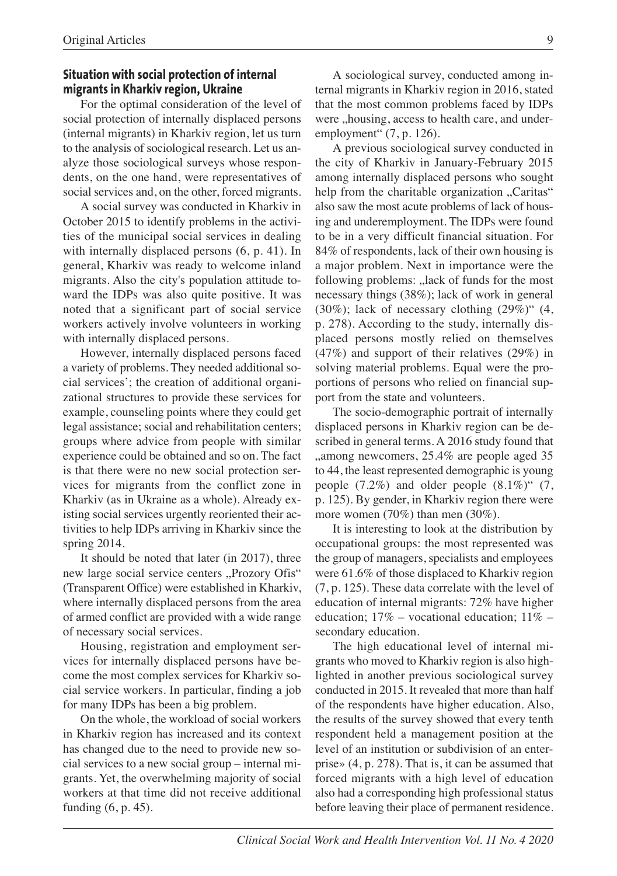### **Situation with social protection of internal migrants in Kharkiv region, Ukraine**

For the optimal consideration of the level of social protection of internally displaced persons (internal migrants) in Kharkiv region, let us turn to the analysis of sociological research. Let us analyze those sociological surveys whose respondents, on the one hand, were representatives of social services and, on the other, forced migrants.

A social survey was conducted in Kharkiv in October 2015 to identify problems in the activities of the municipal social services in dealing with internally displaced persons  $(6, p. 41)$ . In general, Kharkiv was ready to welcome inland migrants. Also the city's population attitude toward the IDPs was also quite positive. It was noted that a significant part of social service workers actively involve volunteers in working with internally displaced persons.

However, internally displaced persons faced a variety of problems. They needed additional social services'; the creation of additional organizational structures to provide these services for example, counseling points where they could get legal assistance; social and rehabilitation centers; groups where advice from people with similar experience could be obtained and so on. The fact is that there were no new social protection services for migrants from the conflict zone in Kharkiv (as in Ukraine as a whole). Already existing social services urgently reoriented their activities to help IDPs arriving in Kharkiv since the spring 2014.

It should be noted that later (in 2017), three new large social service centers "Prozory Ofis" (Transparent Office) were established in Kharkiv, where internally displaced persons from the area of armed conflict are provided with a wide range of necessary social services.

Housing, registration and employment services for internally displaced persons have become the most complex services for Kharkiv social service workers. In particular, finding a job for many IDPs has been a big problem.

On the whole, the workload of social workers in Kharkiv region has increased and its context has changed due to the need to provide new social services to a new social group – internal migrants. Yet, the overwhelming majority of social workers at that time did not receive additional funding (6, p. 45).

A sociological survey, conducted among internal migrants in Kharkiv region in 2016, stated that the most common problems faced by IDPs were ,,housing, access to health care, and underemployment" (7, p. 126).

A previous sociological survey conducted in the city of Kharkiv in January-February 2015 among internally displaced persons who sought help from the charitable organization "Caritas" also saw the most acute problems of lack of housing and underemployment. The IDPs were found to be in a very difficult financial situation. For 84% of respondents, lack of their own housing is a major problem. Next in importance were the following problems: "lack of funds for the most necessary things (38%); lack of work in general  $(30\%)$ ; lack of necessary clothing  $(29\%)$ "  $(4, 1)$ p. 278). According to the study, internally displaced persons mostly relied on themselves (47%) and support of their relatives (29%) in solving material problems. Equal were the proportions of persons who relied on financial support from the state and volunteers.

The socio-demographic portrait of internally displaced persons in Kharkiv region can be described in general terms. A 2016 study found that "among newcomers, 25.4% are people aged 35 to 44, the least represented demographic is young people  $(7.2\%)$  and older people  $(8.1\%)$   $(7, 7)$ p. 125). By gender, in Kharkiv region there were more women (70%) than men (30%).

It is interesting to look at the distribution by occupational groups: the most represented was the group of managers, specialists and employees were 61.6% of those displaced to Kharkiv region (7, p. 125). These data correlate with the level of education of internal migrants: 72% have higher education;  $17\%$  – vocational education;  $11\%$  – secondary education.

The high educational level of internal migrants who moved to Kharkiv region is also highlighted in another previous sociological survey conducted in 2015. It revealed that more than half of the respondents have higher education. Also, the results of the survey showed that every tenth respondent held a management position at the level of an institution or subdivision of an enterprise» (4, p. 278). That is, it can be assumed that forced migrants with a high level of education also had a corresponding high professional status before leaving their place of permanent residence.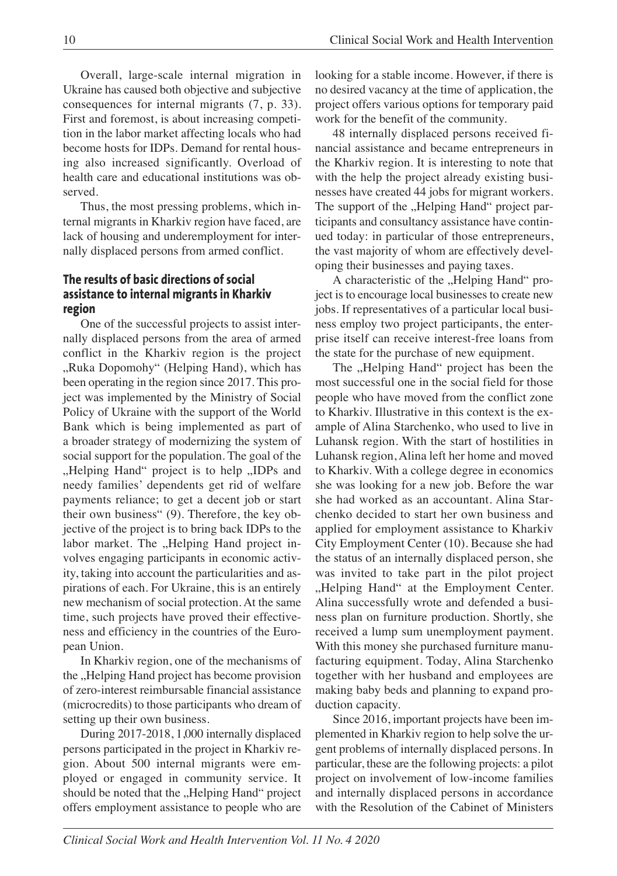Overall, large-scale internal migration in Ukraine has caused both objective and subjective consequences for internal migrants (7, p. 33). First and foremost, is about increasing competition in the labor market affecting locals who had become hosts for IDPs. Demand for rental housing also increased significantly. Overload of health care and educational institutions was observed.

Thus, the most pressing problems, which internal migrants in Kharkiv region have faced, are lack of housing and underemployment for internally displaced persons from armed conflict.

### **The results of basic directions of social assistance to internal migrants in Kharkiv region**

One of the successful projects to assist internally displaced persons from the area of armed conflict in the Kharkiv region is the project "Ruka Dopomohy" (Helping Hand), which has been operating in the region since 2017. This project was implemented by the Ministry of Social Policy of Ukraine with the support of the World Bank which is being implemented as part of a broader strategy of modernizing the system of social support for the population. The goal of the "Helping Hand" project is to help "IDPs and needy families' dependents get rid of welfare payments reliance; to get a decent job or start their own business" (9). Therefore, the key objective of the project is to bring back IDPs to the labor market. The "Helping Hand project involves engaging participants in economic activity, taking into account the particularities and aspirations of each. For Ukraine, this is an entirely new mechanism of social protection. At the same time, such projects have proved their effectiveness and efficiency in the countries of the European Union.

In Kharkiv region, one of the mechanisms of the "Helping Hand project has become provision of zero-interest reimbursable financial assistance (microcredits) to those participants who dream of setting up their own business.

During 2017-2018, 1,000 internally displaced persons participated in the project in Kharkiv region. About 500 internal migrants were employed or engaged in community service. It should be noted that the "Helping Hand" project offers employment assistance to people who are

looking for a stable income. However, if there is no desired vacancy at the time of application, the project offers various options for temporary paid work for the benefit of the community.

48 internally displaced persons received financial assistance and became entrepreneurs in the Kharkiv region. It is interesting to note that with the help the project already existing businesses have created 44 jobs for migrant workers. The support of the "Helping Hand" project participants and consultancy assistance have continued today: in particular of those entrepreneurs, the vast majority of whom are effectively developing their businesses and paying taxes.

A characteristic of the "Helping Hand" project is to encourage local businesses to create new jobs. If representatives of a particular local business employ two project participants, the enterprise itself can receive interest-free loans from the state for the purchase of new equipment.

The "Helping Hand" project has been the most successful one in the social field for those people who have moved from the conflict zone to Kharkiv. Illustrative in this context is the example of Alina Starchenko, who used to live in Luhansk region. With the start of hostilities in Luhansk region, Alina left her home and moved to Kharkiv. With a college degree in economics she was looking for a new job. Before the war she had worked as an accountant. Alina Starchenko decided to start her own business and applied for employment assistance to Kharkiv City Employment Center (10). Because she had the status of an internally displaced person, she was invited to take part in the pilot project "Helping Hand" at the Employment Center. Alina successfully wrote and defended a business plan on furniture production. Shortly, she received a lump sum unemployment payment. With this money she purchased furniture manufacturing equipment. Today, Alina Starchenko together with her husband and employees are making baby beds and planning to expand production capacity.

Since 2016, important projects have been implemented in Kharkiv region to help solve the urgent problems of internally displaced persons. In particular, these are the following projects: a pilot project on involvement of low-income families and internally displaced persons in accordance with the Resolution of the Cabinet of Ministers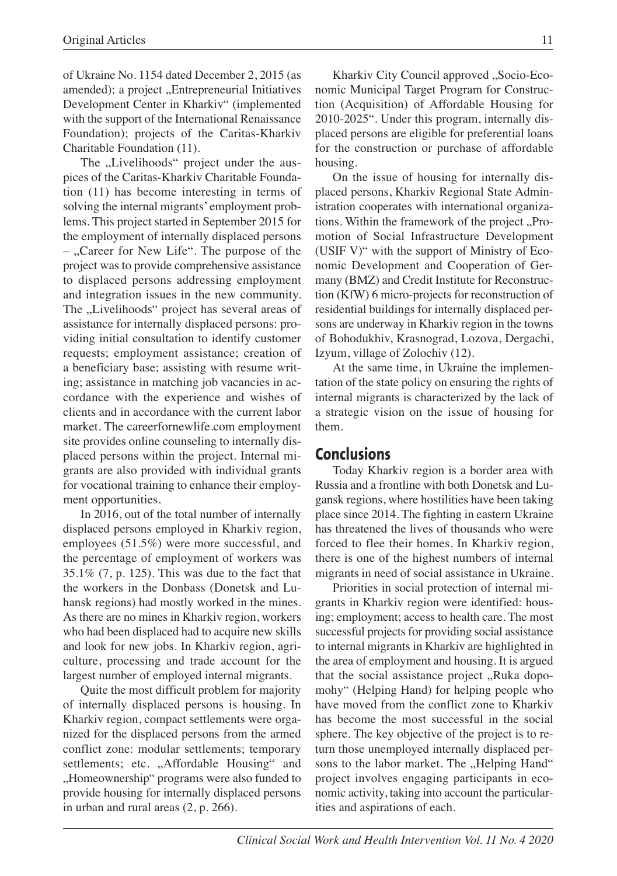of Ukraine No. 1154 dated December 2, 2015 (as amended); a project "Entrepreneurial Initiatives Development Center in Kharkiv" (implemented with the support of the International Renaissance Foundation); projects of the Caritas-Kharkiv Charitable Foundation (11).

The "Livelihoods" project under the auspices of the Caritas-Kharkiv Charitable Foundation (11) has become interesting in terms of solving the internal migrants' employment problems. This project started in September 2015 for the employment of internally displaced persons  $-$ , Career for New Life". The purpose of the project was to provide comprehensive assistance to displaced persons addressing employment and integration issues in the new community. The "Livelihoods" project has several areas of assistance for internally displaced persons: providing initial consultation to identify customer requests; employment assistance; creation of a beneficiary base; assisting with resume writing; assistance in matching job vacancies in accordance with the experience and wishes of clients and in accordance with the current labor market. The careerfornewlife.com employment site provides online counseling to internally displaced persons within the project. Internal migrants are also provided with individual grants for vocational training to enhance their employment opportunities.

In 2016, out of the total number of internally displaced persons employed in Kharkiv region, employees (51.5%) were more successful, and the percentage of employment of workers was 35.1% (7, p. 125). This was due to the fact that the workers in the Donbass (Donetsk and Luhansk regions) had mostly worked in the mines. As there are no mines in Kharkiv region, workers who had been displaced had to acquire new skills and look for new jobs. In Kharkiv region, agriculture, processing and trade account for the largest number of employed internal migrants.

Quite the most difficult problem for majority of internally displaced persons is housing. In Kharkiv region, compact settlements were organized for the displaced persons from the armed conflict zone: modular settlements; temporary settlements; etc. "Affordable Housing" and "Homeownership" programs were also funded to provide housing for internally displaced persons in urban and rural areas (2, p. 266).

Kharkiv City Council approved "Socio-Economic Municipal Target Program for Construction (Acquisition) of Affordable Housing for 2010-2025". Under this program, internally displaced persons are eligible for preferential loans for the construction or purchase of affordable housing.

On the issue of housing for internally displaced persons, Kharkiv Regional State Administration cooperates with international organizations. Within the framework of the project ..Promotion of Social Infrastructure Development (USIF V)" with the support of Ministry of Economic Development and Cooperation of Germany (BMZ) and Credit Institute for Reconstruction (KfW) 6 micro-projects for reconstruction of residential buildings for internally displaced persons are underway in Kharkiv region in the towns of Bohodukhiv, Krasnograd, Lozova, Dergachi, Izyum, village of Zolochiv (12).

At the same time, in Ukraine the implementation of the state policy on ensuring the rights of internal migrants is characterized by the lack of a strategic vision on the issue of housing for them.

### **Conclusions**

Today Kharkiv region is a border area with Russia and a frontline with both Donetsk and Lugansk regions, where hostilities have been taking place since 2014. The fighting in eastern Ukraine has threatened the lives of thousands who were forced to flee their homes. In Kharkiv region, there is one of the highest numbers of internal migrants in need of social assistance in Ukraine.

Priorities in social protection of internal migrants in Kharkiv region were identified: housing; employment; access to health care. The most successful projects for providing social assistance to internal migrants in Kharkiv are highlighted in the area of employment and housing. It is argued that the social assistance project "Ruka dopomohy" (Helping Hand) for helping people who have moved from the conflict zone to Kharkiv has become the most successful in the social sphere. The key objective of the project is to return those unemployed internally displaced persons to the labor market. The "Helping Hand" project involves engaging participants in economic activity, taking into account the particularities and aspirations of each.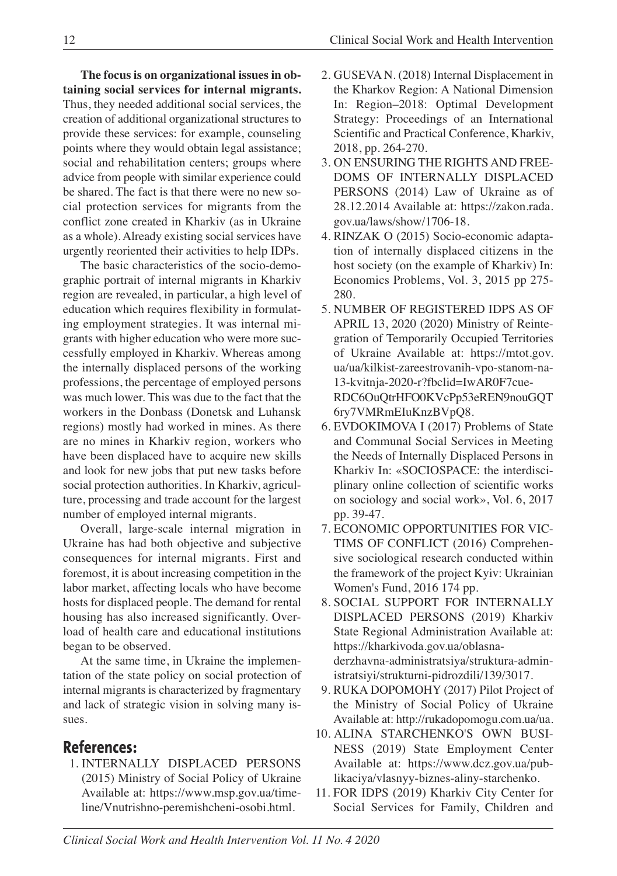**The focus is on organizational issues in obtaining social services for internal migrants.** Thus, they needed additional social services, the creation of additional organizational structures to provide these services: for example, counseling points where they would obtain legal assistance; social and rehabilitation centers; groups where advice from people with similar experience could be shared. The fact is that there were no new social protection services for migrants from the conflict zone created in Kharkiv (as in Ukraine as a whole). Already existing social services have urgently reoriented their activities to help IDPs.

The basic characteristics of the socio-demographic portrait of internal migrants in Kharkiv region are revealed, in particular, a high level of education which requires flexibility in formulating employment strategies. It was internal migrants with higher education who were more successfully employed in Kharkiv. Whereas among the internally displaced persons of the working professions, the percentage of employed persons was much lower. This was due to the fact that the workers in the Donbass (Donetsk and Luhansk regions) mostly had worked in mines. As there are no mines in Kharkiv region, workers who have been displaced have to acquire new skills and look for new jobs that put new tasks before social protection authorities. In Kharkiv, agriculture, processing and trade account for the largest number of employed internal migrants.

Overall, large-scale internal migration in Ukraine has had both objective and subjective consequences for internal migrants. First and foremost, it is about increasing competition in the labor market, affecting locals who have become hosts for displaced people. The demand for rental housing has also increased significantly. Overload of health care and educational institutions began to be observed.

At the same time, in Ukraine the implementation of the state policy on social protection of internal migrants is characterized by fragmentary and lack of strategic vision in solving many issues.

# **References:**

1. INTERNALLY DISPLACED PERSONS (2015) Ministry of Social Policy of Ukraine Available at: https://www.msp.gov.ua/timeline/Vnutrishno-peremishcheni-osobi.html.

- 2. GUSEVA N. (2018) Internal Displacement in the Kharkov Region: A National Dimension In: Region–2018: Optimal Development Strategy: Proceedings of an International Scientific and Practical Conference, Kharkiv, 2018, pp. 264-270.
- 3. ON ENSURING THE RIGHTS AND FREE-DOMS OF INTERNALLY DISPLACED PERSONS (2014) Law of Ukraine as of 28.12.2014 Available at: https://zakon.rada. gov.ua/laws/show/1706-18.
- 4. RINZAK O (2015) Socio-economic adaptation of internally displaced citizens in the host society (on the example of Kharkiv) In: Economics Problems, Vol. 3, 2015 pp 275- 280.
- 5. NUMBER OF REGISTERED IDPS AS OF APRIL 13, 2020 (2020) Ministry of Reintegration of Temporarily Occupied Territories of Ukraine Available at: https://mtot.gov. ua/ua/kilkist-zareestrovanih-vpo-stanom-na-13-kvitnja-2020-r?fbclid=IwAR0F7cue-RDC6OuQtrHFO0KVcPp53eREN9nouGQT 6ry7VMRmEIuKnzBVpQ8.
- 6. EVDOKIMOVA I (2017) Problems of State and Communal Social Services in Meeting the Needs of Internally Displaced Persons in Kharkiv In: «SOCIOSPACE: the interdisciplinary online collection of scientific works on sociology and social work», Vol. 6, 2017 pp. 39-47.
- 7. ECONOMIC OPPORTUNITIES FOR VIC-TIMS OF CONFLICT (2016) Comprehensive sociological research conducted within the framework of the project Kyiv: Ukrainian Women's Fund, 2016 174 рp.
- 8. SOCIAL SUPPORT FOR INTERNALLY DISPLACED PERSONS (2019) Kharkiv State Regional Administration Available at: https://kharkivoda.gov.ua/oblasnaderzhavna-administratsiya/struktura-administratsiyi/strukturni-pidrozdili/139/3017.
- 9. RUKA DOPOMOHY (2017) Pilot Project of the Ministry of Social Policy of Ukraine Available at: http://rukadopomogu.com.ua/ua.
- 10. ALINA STARCHENKO'S OWN BUSI-NESS (2019) State Employment Center Available at: https://www.dcz.gov.ua/publikaciya/vlasnyy-biznes-aliny-starchenko.
- 11. FOR IDPS (2019) Kharkiv City Center for Social Services for Family, Children and